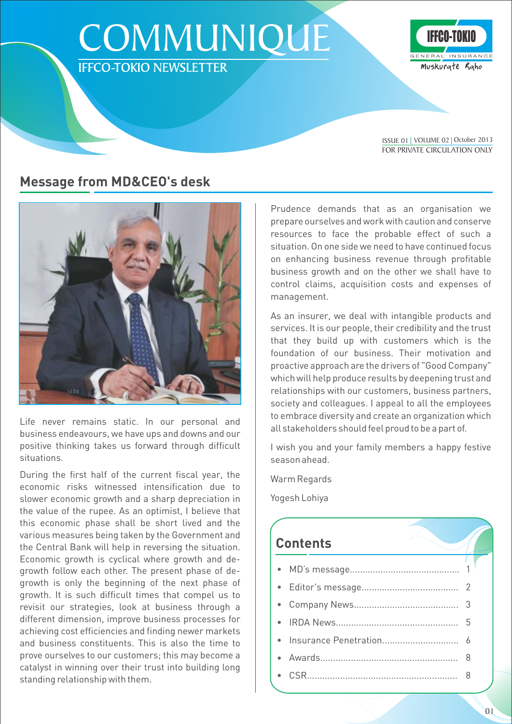# **COMMUNIQUE** IFFCO-TOKIO NEWSLETTER



FOR PRIVATE CIRCULATION ONLY ISSUE 01 | VOLUME 02 | October 2013

### **Message from MD&CEO's desk**



Life never remains static. In our personal and business endeavours, we have ups and downs and our positive thinking takes us forward through difficult situations.

During the first half of the current fiscal year, the economic risks witnessed intensification due to slower economic growth and a sharp depreciation in the value of the rupee. As an optimist, I believe that this economic phase shall be short lived and the various measures being taken by the Government and the Central Bank will help in reversing the situation. Economic growth is cyclical where growth and degrowth follow each other. The present phase of degrowth is only the beginning of the next phase of growth. It is such difficult times that compel us to revisit our strategies, look at business through a different dimension, improve business processes for achieving cost efficiencies and finding newer markets and business constituents. This is also the time to prove ourselves to our customers; this may become a catalyst in winning over their trust into building long standing relationship with them.

Prudence demands that as an organisation we prepare ourselves and work with caution and conserve resources to face the probable effect of such a situation. On one side we need to have continued focus on enhancing business revenue through profitable business growth and on the other we shall have to control claims, acquisition costs and expenses of management.

As an insurer, we deal with intangible products and services. It is our people, their credibility and the trust that they build up with customers which is the foundation of our business. Their motivation and proactive approach are the drivers of "Good Company" which will help produce results by deepening trust and relationships with our customers, business partners, society and colleagues. I appeal to all the employees to embrace diversity and create an organization which all stakeholders should feel proud to be a part of.

I wish you and your family members a happy festive season ahead.

Warm Regards

Yogesh Lohiya

## **Contents**

01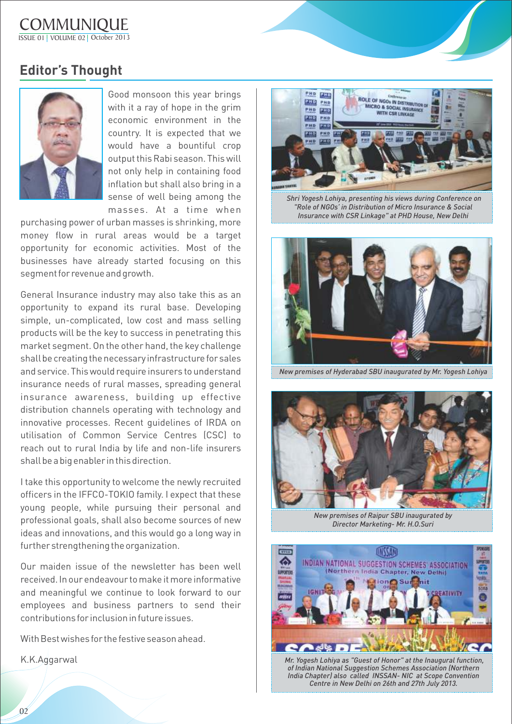**COMMUNIQUE** ISSUE 01 VOLUME 02 October 2013

### **Editor's Thought**



Good monsoon this year brings with it a ray of hope in the grim economic environment in the country. It is expected that we would have a bountiful crop output this Rabi season. This will not only help in containing food inflation but shall also bring in a sense of well being among the masses. At a time when

purchasing power of urban masses is shrinking, more money flow in rural areas would be a target opportunity for economic activities. Most of the businesses have already started focusing on this segment for revenue and growth.

General Insurance industry may also take this as an opportunity to expand its rural base. Developing simple, un-complicated, low cost and mass selling products will be the key to success in penetrating this market segment. On the other hand, the key challenge shall be creating the necessary infrastructure for sales and service. This would require insurers to understand insurance needs of rural masses, spreading general insurance awareness, building up effective distribution channels operating with technology and innovative processes. Recent guidelines of IRDA on utilisation of Common Service Centres (CSC) to reach out to rural India by life and non-life insurers shall be a big enabler in this direction.

I take this opportunity to welcome the newly recruited officers in the IFFCO-TOKIO family. I expect that these young people, while pursuing their personal and professional goals, shall also become sources of new ideas and innovations, and this would go a long way in further strengthening the organization.

Our maiden issue of the newsletter has been well received. In our endeavour to make it more informative and meaningful we continue to look forward to our employees and business partners to send their contributions for inclusion in future issues.

With Best wishes for the festive season ahead.

K.K.Aggarwal



 *Shri Yogesh Lohiya, presenting his views during Conference on "Role of NGOs' in Distribution of Micro Insurance & Social Insurance with CSR Linkage" at PHD House, New Delhi* 



*New premises of Hyderabad SBU inaugurated by Mr. Yogesh Lohiya*



*New premises of Raipur SBU inaugurated by Director Marketing- Mr. H.O.Suri* 



 *Mr. Yogesh Lohiya as "Guest of Honor" at the Inaugural function, of Indian National Suggestion Schemes Association (Northern India Chapter) also called INSSAN- NIC at Scope Convention Centre in New Delhi on 26th and 27th July 2013.*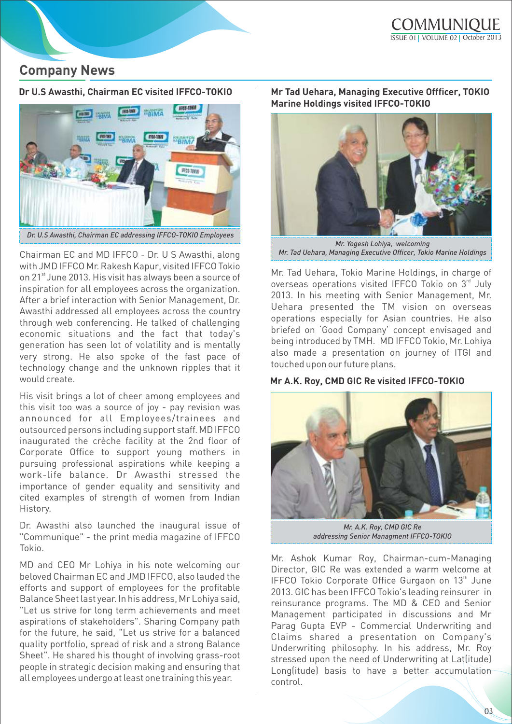### **Company News**



Chairman EC and MD IFFCO - Dr. U S Awasthi, along with JMD IFFCO Mr. Rakesh Kapur, visited IFFCO Tokio on 21<sup>st</sup> June 2013. His visit has always been a source of inspiration for all employees across the organization. After a brief interaction with Senior Management, Dr. Awasthi addressed all employees across the country through web conferencing. He talked of challenging economic situations and the fact that today's generation has seen lot of volatility and is mentally very strong. He also spoke of the fast pace of technology change and the unknown ripples that it would create.

His visit brings a lot of cheer among employees and this visit too was a source of joy - pay revision was announced for all Employees/trainees and outsourced persons including support staff. MD IFFCO inaugurated the crèche facility at the 2nd floor of Corporate Office to support young mothers in pursuing professional aspirations while keeping a work-life balance. Dr Awasthi stressed the importance of gender equality and sensitivity and cited examples of strength of women from Indian History.

Dr. Awasthi also launched the inaugural issue of "Communique" - the print media magazine of IFFCO Tokio.

MD and CEO Mr Lohiya in his note welcoming our beloved Chairman EC and JMD IFFCO, also lauded the efforts and support of employees for the profitable Balance Sheet last year. In his address, Mr Lohiya said, "Let us strive for long term achievements and meet aspirations of stakeholders". Sharing Company path for the future, he said, "Let us strive for a balanced quality portfolio, spread of risk and a strong Balance Sheet". He shared his thought of involving grass-root people in strategic decision making and ensuring that all employees undergo at least one training this year.

#### **Dr U.S Awasthi, Chairman EC visited IFFCO-TOKIO Mr Tad Uehara, Managing Executive Offficer, TOKIO Marine Holdings visited IFFCO-TOKIO**



*Mr. Yogesh Lohiya, welcoming Mr. Tad Uehara, Managing Executive Officer, Tokio Marine Holdings*

Mr. Tad Uehara, Tokio Marine Holdings, in charge of overseas operations visited IFFCO Tokio on 3rd July 2013. In his meeting with Senior Management, Mr. Uehara presented the TM vision on overseas operations especially for Asian countries. He also briefed on 'Good Company' concept envisaged and being introduced by TMH. MD IFFCO Tokio, Mr. Lohiya also made a presentation on journey of ITGI and touched upon our future plans.

#### **Mr A.K. Roy, CMD GIC Re visited IFFCO-TOKIO**



*Mr. A.K. Roy, CMD GIC Re addressing Senior Managment IFFCO-TOKIO*

Mr. Ashok Kumar Roy, Chairman-cum-Managing Director, GIC Re was extended a warm welcome at IFFCO Tokio Corporate Office Gurgaon on 13<sup>th</sup> June 2013. GIC has been IFFCO Tokio's leading reinsurer in reinsurance programs. The MD & CEO and Senior Management participated in discussions and Mr Parag Gupta EVP - Commercial Underwriting and Claims shared a presentation on Company's Underwriting philosophy. In his address, Mr. Roy stressed upon the need of Underwriting at Lat(itude) Long(itude) basis to have a better accumulation control.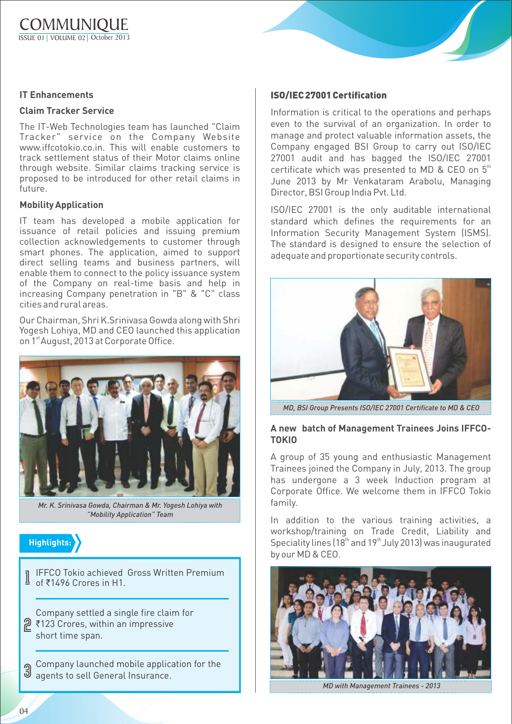#### **IT Enhancements**

#### **Claim Tracker Service**

The IT-Web Technologies team has launched "Claim Tracker" service on the Company Website www.iffcotokio.co.in. This will enable customers to track settlement status of their Motor claims online through website. Similar claims tracking service is proposed to be introduced for other retail claims in future.

#### **Mobility Application**

IT team has developed a mobile application for issuance of retail policies and issuing premium collection acknowledgements to customer through smart phones. The application, aimed to support direct selling teams and business partners, will enable them to connect to the policy issuance system of the Company on real-time basis and help in increasing Company penetration in "B" & "C" class cities and rural areas.

Our Chairman, Shri K.Srinivasa Gowda along with Shri Yogesh Lohiya, MD and CEO launched this application on 1<sup>st</sup> August, 2013 at Corporate Office.



*Mr. K. Srinivasa Gowda, Chairman & Mr. Yogesh Lohiya with "Mobility Application" Team*



I IFFCO Tokio achieved<br>I of ₹1496 Crores in H1. IFFCO Tokio achieved Gross Written Premium

**2** ₹123 Crores, within an impressive Company settled a single fire claim for short time span.

Company launched mobile application for the agents to sell General Insurance.

#### **ISO/IEC 27001 Certification**

Information is critical to the operations and perhaps even to the survival of an organization. In order to manage and protect valuable information assets, the Company engaged BSI Group to carry out ISO/IEC 27001 audit and has bagged the ISO/IEC 27001 certificate which was presented to MD & CEO on  $5<sup>th</sup>$ June 2013 by Mr Venkataram Arabolu, Managing Director, BSI Group India Pvt. Ltd.

ISO/IEC 27001 is the only auditable international standard which defines the requirements for an Information Security Management System (ISMS). The standard is designed to ensure the selection of adequate and proportionate security controls.



*MD, BSI Group Presents ISO/IEC 27001 Certificate to MD & CEO* 

#### **A new batch of Management Trainees Joins IFFCO-TOKIO**

A group of 35 young and enthusiastic Management Trainees joined the Company in July, 2013. The group has undergone a 3 week Induction program at Corporate Office. We welcome them in IFFCO Tokio family.

In addition to the various training activities, a workshop/training on Trade Credit, Liability and Speciality lines  $(18<sup>th</sup>$  and  $19<sup>th</sup>$  July 2013) was inaugurated by our MD & CEO.



*MD with Management Trainees - 2013*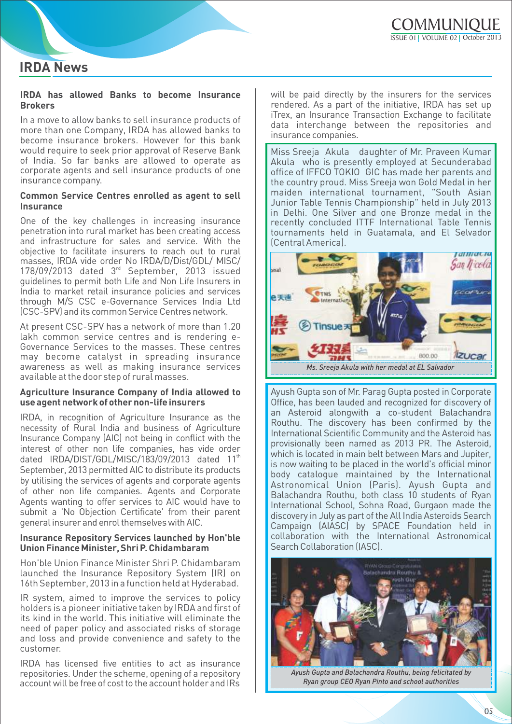## **IRDA News**

#### **IRDA has allowed Banks to become Insurance Brokers**

In a move to allow banks to sell insurance products of more than one Company, IRDA has allowed banks to become insurance brokers. However for this bank would require to seek prior approval of Reserve Bank of India. So far banks are allowed to operate as corporate agents and sell insurance products of one insurance company.

#### **Common Service Centres enrolled as agent to sell Insurance**

One of the key challenges in increasing insurance penetration into rural market has been creating access and infrastructure for sales and service. With the objective to facilitate insurers to reach out to rural masses, IRDA vide order No IRDA/D/Dist/GDL/ MISC/ 178/09/2013 dated 3<sup>rd</sup> September, 2013 issued guidelines to permit both Life and Non Life Insurers in India to market retail insurance policies and services through M/S CSC e-Governance Services India Ltd (CSC-SPV) and its common Service Centres network.

At present CSC-SPV has a network of more than 1.20 lakh common service centres and is rendering e-Governance Services to the masses. These centres may become catalyst in spreading insurance awareness as well as making insurance services available at the door step of rural masses.

#### **Agriculture Insurance Company of India allowed to use agent network of other non-life insurers**

IRDA, in recognition of Agriculture Insurance as the necessity of Rural India and business of Agriculture Insurance Company (AIC) not being in conflict with the interest of other non life companies, has vide order dated IRDA/DIST/GDL/MISC/183/09/2013 dated 11<sup>th</sup> September, 2013 permitted AIC to distribute its products by utilising the services of agents and corporate agents of other non life companies. Agents and Corporate Agents wanting to offer services to AIC would have to submit a 'No Objection Certificate' from their parent general insurer and enrol themselves with AIC.

#### **Insurance Repository Services launched by Hon'ble Union Finance Minister, Shri P. Chidambaram**

Hon'ble Union Finance Minister Shri P. Chidambaram launched the Insurance Repository System (IR) on 16th September, 2013 in a function held at Hyderabad.

IR system, aimed to improve the services to policy holders is a pioneer initiative taken by IRDA and first of its kind in the world. This initiative will eliminate the need of paper policy and associated risks of storage and loss and provide convenience and safety to the customer.

IRDA has licensed five entities to act as insurance repositories. Under the scheme, opening of a repository account will be free of cost to the account holder and IRs will be paid directly by the insurers for the services rendered. As a part of the initiative, IRDA has set up iTrex, an Insurance Transaction Exchange to facilitate data interchange between the repositories and insurance companies.

Miss Sreeja Akula daughter of Mr. Praveen Kumar Akula who is presently employed at Secunderabad office of IFFCO TOKIO GIC has made her parents and the country proud. Miss Sreeja won Gold Medal in her maiden international tournament, "South Asian Junior Table Tennis Championship" held in July 2013 in Delhi. One Silver and one Bronze medal in the recently concluded ITTF International Table Tennis tournaments held in Guatamala, and El Selvador (Central America).



Ayush Gupta son of Mr. Parag Gupta posted in Corporate Office, has been lauded and recognized for discovery of an Asteroid alongwith a co-student Balachandra Routhu. The discovery has been confirmed by the International Scientific Community and the Asteroid has provisionally been named as 2013 PR. The Asteroid, which is located in main belt between Mars and Jupiter, is now waiting to be placed in the world's official minor body catalogue maintained by the International Astronomical Union (Paris). Ayush Gupta and Balachandra Routhu, both class 10 students of Ryan International School, Sohna Road, Gurgaon made the discovery in July as part of the All India Asteroids Search Campaign (AIASC) by SPACE Foundation held in collaboration with the International Astronomical Search Collaboration (IASC).



*Ayush Gupta and Balachandra Routhu, being felicitated by Ryan group CEO Ryan Pinto and school authorities*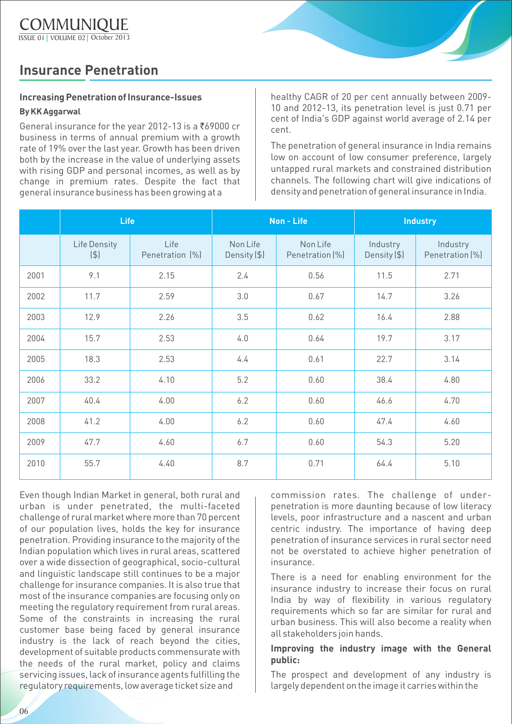### **Insurance Penetration**

### **Increasing Penetration of Insurance-Issues**

#### **By KK Aggarwal**

General insurance for the year 2012-13 is a  $769000$  cr business in terms of annual premium with a growth rate of 19% over the last year. Growth has been driven both by the increase in the value of underlying assets with rising GDP and personal incomes, as well as by change in premium rates. Despite the fact that general insurance business has been growing at a

healthy CAGR of 20 per cent annually between 2009- 10 and 2012-13, its penetration level is just 0.71 per cent of India's GDP against world average of 2.14 per cent.

The penetration of general insurance in India remains low on account of low consumer preference, largely untapped rural markets and constrained distribution channels. The following chart will give indications of density and penetration of general insurance in India.

|      | <b>Life</b>         |                         | Non - Life               |                             | <b>Industry</b>          |                             |
|------|---------------------|-------------------------|--------------------------|-----------------------------|--------------------------|-----------------------------|
|      | Life Density<br>(4) | Life<br>Penetration (%) | Non Life<br>Density (\$) | Non Life<br>Penetration (%) | Industry<br>Density (\$) | Industry<br>Penetration (%) |
| 2001 | 9.1                 | 2.15                    | 2.4                      | 0.56                        | 11.5                     | 2.71                        |
| 2002 | 11.7                | 2.59                    | 3.0                      | 0.67                        | 14.7                     | 3.26                        |
| 2003 | 12.9                | 2.26                    | 3.5                      | 0.62                        | 16.4                     | 2.88                        |
| 2004 | 15.7                | 2.53                    | 4.0                      | 0.64                        | 19.7                     | 3.17                        |
| 2005 | 18.3                | 2.53                    | 4.4                      | 0.61                        | 22.7                     | 3.14                        |
| 2006 | 33.2                | 4.10                    | 5.2                      | 0.60                        | 38.4                     | 4.80                        |
| 2007 | 40.4                | 4.00                    | 6.2                      | 0.60                        | 46.6                     | 4.70                        |
| 2008 | 41.2                | 4.00                    | 6.2                      | 0.60                        | 47.4                     | 4.60                        |
| 2009 | 47.7                | 4.60                    | 6.7                      | 0.60                        | 54.3                     | 5.20                        |
| 2010 | 55.7                | 4.40                    | 8.7                      | 0.71                        | 64.4                     | 5.10                        |

Even though Indian Market in general, both rural and urban is under penetrated, the multi-faceted challenge of rural market where more than 70 percent of our population lives, holds the key for insurance penetration. Providing insurance to the majority of the Indian population which lives in rural areas, scattered over a wide dissection of geographical, socio-cultural and linguistic landscape still continues to be a major challenge for insurance companies. It is also true that most of the insurance companies are focusing only on meeting the regulatory requirement from rural areas. Some of the constraints in increasing the rural customer base being faced by general insurance industry is the lack of reach beyond the cities, development of suitable products commensurate with the needs of the rural market, policy and claims servicing issues, lack of insurance agents fulfilling the regulatory requirements, low average ticket size and

commission rates. The challenge of underpenetration is more daunting because of low literacy levels, poor infrastructure and a nascent and urban centric industry. The importance of having deep penetration of insurance services in rural sector need not be overstated to achieve higher penetration of insurance.

There is a need for enabling environment for the insurance industry to increase their focus on rural India by way of flexibility in various regulatory requirements which so far are similar for rural and urban business. This will also become a reality when all stakeholders join hands.

### **Improving the industry image with the General public:**

The prospect and development of any industry is largely dependent on the image it carries within the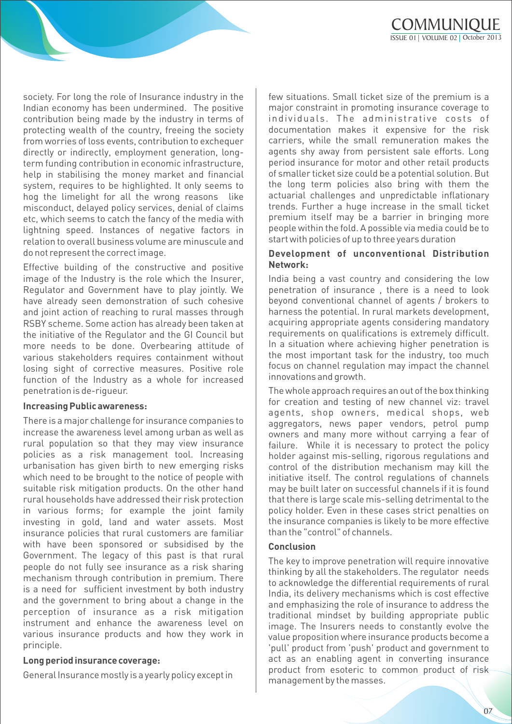society. For long the role of Insurance industry in the Indian economy has been undermined. The positive contribution being made by the industry in terms of protecting wealth of the country, freeing the society from worries of loss events, contribution to exchequer directly or indirectly, employment generation, longterm funding contribution in economic infrastructure, help in stabilising the money market and financial system, requires to be highlighted. It only seems to hog the limelight for all the wrong reasons like misconduct, delayed policy services, denial of claims etc, which seems to catch the fancy of the media with lightning speed. Instances of negative factors in relation to overall business volume are minuscule and do not represent the correct image.

Effective building of the constructive and positive image of the Industry is the role which the Insurer, Regulator and Government have to play jointly. We have already seen demonstration of such cohesive and joint action of reaching to rural masses through RSBY scheme. Some action has already been taken at the initiative of the Regulator and the GI Council but more needs to be done. Overbearing attitude of various stakeholders requires containment without losing sight of corrective measures. Positive role function of the Industry as a whole for increased penetration is de-rigueur.

#### **Increasing Public awareness:**

There is a major challenge for insurance companies to increase the awareness level among urban as well as rural population so that they may view insurance policies as a risk management tool. Increasing urbanisation has given birth to new emerging risks which need to be brought to the notice of people with suitable risk mitigation products. On the other hand rural households have addressed their risk protection in various forms; for example the joint family investing in gold, land and water assets. Most insurance policies that rural customers are familiar with have been sponsored or subsidised by the Government. The legacy of this past is that rural people do not fully see insurance as a risk sharing mechanism through contribution in premium. There is a need for sufficient investment by both industry and the government to bring about a change in the perception of insurance as a risk mitigation instrument and enhance the awareness level on various insurance products and how they work in principle.

#### **Long period insurance coverage:**

General Insurance mostly is a yearly policy except in

few situations. Small ticket size of the premium is a major constraint in promoting insurance coverage to individuals. The administrative costs of documentation makes it expensive for the risk carriers, while the small remuneration makes the agents shy away from persistent sale efforts. Long period insurance for motor and other retail products of smaller ticket size could be a potential solution. But the long term policies also bring with them the actuarial challenges and unpredictable inflationary trends. Further a huge increase in the small ticket premium itself may be a barrier in bringing more people within the fold. A possible via media could be to start with policies of up to three years duration

#### **Development of unconventional Distribution Network:**

India being a vast country and considering the low penetration of insurance , there is a need to look beyond conventional channel of agents / brokers to harness the potential. In rural markets development, acquiring appropriate agents considering mandatory requirements on qualifications is extremely difficult. In a situation where achieving higher penetration is the most important task for the industry, too much focus on channel regulation may impact the channel innovations and growth.

The whole approach requires an out of the box thinking for creation and testing of new channel viz: travel agents, shop owners, medical shops, web aggregators, news paper vendors, petrol pump owners and many more without carrying a fear of failure. While it is necessary to protect the policy holder against mis-selling, rigorous regulations and control of the distribution mechanism may kill the initiative itself. The control regulations of channels may be built later on successful channels if it is found that there is large scale mis-selling detrimental to the policy holder. Even in these cases strict penalties on the insurance companies is likely to be more effective than the "control" of channels.

#### **Conclusion**

The key to improve penetration will require innovative thinking by all the stakeholders. The regulator needs to acknowledge the differential requirements of rural India, its delivery mechanisms which is cost effective and emphasizing the role of insurance to address the traditional mindset by building appropriate public image. The Insurers needs to constantly evolve the value proposition where insurance products become a 'pull' product from 'push' product and government to act as an enabling agent in converting insurance product from esoteric to common product of risk management by the masses.